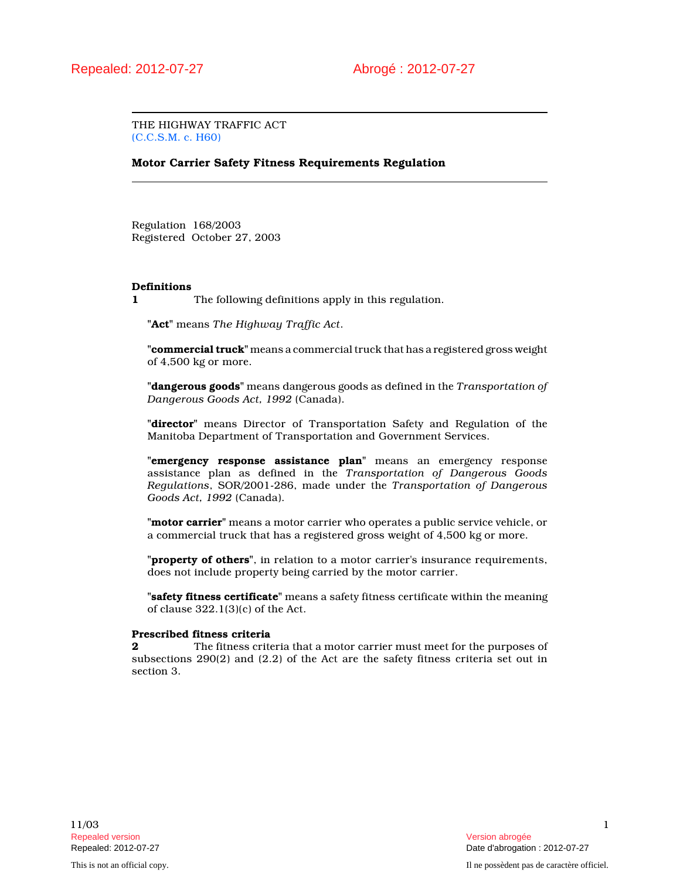THE HIGHWAY TRAFFIC ACT (C.C.S.M. c. H60)

# Motor Carrier Safety Fitness Requirements Regulation

Regulation 168/2003 Registered October 27, 2003

## Definitions

1 The following definitions apply in this regulation.

"Act" means The Highway Traffic Act.

"commercial truck" means a commercial truck that has a registered gross weight of 4,500 kg or more.

"dangerous goods" means dangerous goods as defined in the Transportation of Dangerous Goods Act, 1992 (Canada).

"director" means Director of Transportation Safety and Regulation of the Manitoba Department of Transportation and Government Services.

"emergency response assistance plan" means an emergency response assistance plan as defined in the Transportation of Dangerous Goods Regulations, SOR/2001-286, made under the Transportation of Dangerous Goods Act, 1992 (Canada).

"motor carrier" means a motor carrier who operates a public service vehicle, or a commercial truck that has a registered gross weight of 4,500 kg or more.

"property of others", in relation to a motor carrier's insurance requirements, does not include property being carried by the motor carrier.

"safety fitness certificate" means a safety fitness certificate within the meaning of clause 322.1(3)(c) of the Act.

## Prescribed fitness criteria

**2** The fitness criteria that a motor carrier must meet for the purposes of subsections 290(2) and (2.2) of the Act are the safety fitness criteria set out in section 3.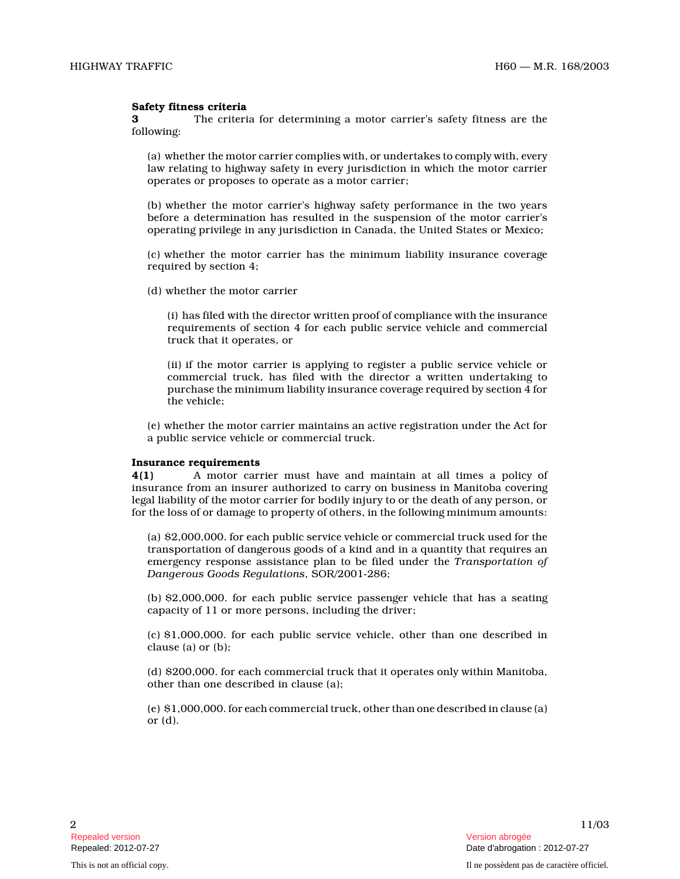## Safety fitness criteria

3 The criteria for determining a motor carrier's safety fitness are the following:

(a) whether the motor carrier complies with, or undertakes to comply with, every law relating to highway safety in every jurisdiction in which the motor carrier operates or proposes to operate as a motor carrier;

(b) whether the motor carrier's highway safety performance in the two years before a determination has resulted in the suspension of the motor carrier's operating privilege in any jurisdiction in Canada, the United States or Mexico;

(c) whether the motor carrier has the minimum liability insurance coverage required by section 4;

(d) whether the motor carrier

(i) has filed with the director written proof of compliance with the insurance requirements of section 4 for each public service vehicle and commercial truck that it operates, or

(ii) if the motor carrier is applying to register a public service vehicle or commercial truck, has filed with the director a written undertaking to purchase the minimum liability insurance coverage required by section 4 for the vehicle;

(e) whether the motor carrier maintains an active registration under the Act for a public service vehicle or commercial truck.

#### Insurance requirements

4(1) A motor carrier must have and maintain at all times a policy of insurance from an insurer authorized to carry on business in Manitoba covering legal liability of the motor carrier for bodily injury to or the death of any person, or for the loss of or damage to property of others, in the following minimum amounts:

(a) \$2,000,000. for each public service vehicle or commercial truck used for the transportation of dangerous goods of a kind and in a quantity that requires an emergency response assistance plan to be filed under the Transportation of Dangerous Goods Regulations, SOR/2001-286;

(b) \$2,000,000. for each public service passenger vehicle that has a seating capacity of 11 or more persons, including the driver;

(c) \$1,000,000. for each public service vehicle, other than one described in clause (a) or (b);

(d) \$200,000. for each commercial truck that it operates only within Manitoba, other than one described in clause (a);

(e) \$1,000,000. for each commercial truck, other than one described in clause (a) or (d).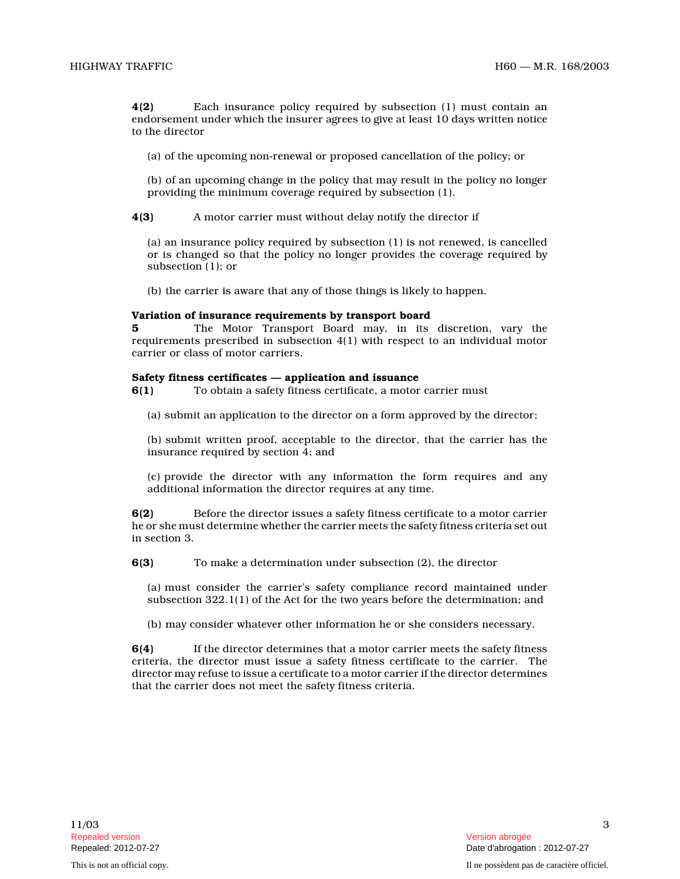4(2) Each insurance policy required by subsection (1) must contain an endorsement under which the insurer agrees to give at least 10 days written notice to the director

(a) of the upcoming non-renewal or proposed cancellation of the policy; or

(b) of an upcoming change in the policy that may result in the policy no longer providing the minimum coverage required by subsection (1).

4(3) A motor carrier must without delay notify the director if

(a) an insurance policy required by subsection (1) is not renewed, is cancelled or is changed so that the policy no longer provides the coverage required by subsection (1); or

(b) the carrier is aware that any of those things is likely to happen.

## Variation of insurance requirements by transport board

5 The Motor Transport Board may, in its discretion, vary the requirements prescribed in subsection 4(1) with respect to an individual motor carrier or class of motor carriers.

## Safety fitness certificates — application and issuance

6(1) To obtain a safety fitness certificate, a motor carrier must

(a) submit an application to the director on a form approved by the director;

(b) submit written proof, acceptable to the director, that the carrier has the insurance required by section 4; and

(c) provide the director with any information the form requires and any additional information the director requires at any time.

6(2) Before the director issues a safety fitness certificate to a motor carrier he or she must determine whether the carrier meets the safety fitness criteria set out in section 3.

6(3) To make a determination under subsection (2), the director

(a) must consider the carrier's safety compliance record maintained under subsection 322.1(1) of the Act for the two years before the determination; and

(b) may consider whatever other information he or she considers necessary.

6(4) If the director determines that a motor carrier meets the safety fitness criteria, the director must issue a safety fitness certificate to the carrier. The director may refuse to issue a certificate to a motor carrier if the director determines that the carrier does not meet the safety fitness criteria.